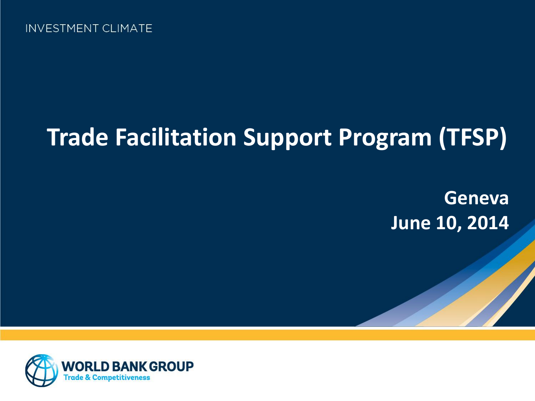# **Trade Facilitation Support Program (TFSP)**

**Geneva June 10, 2014**

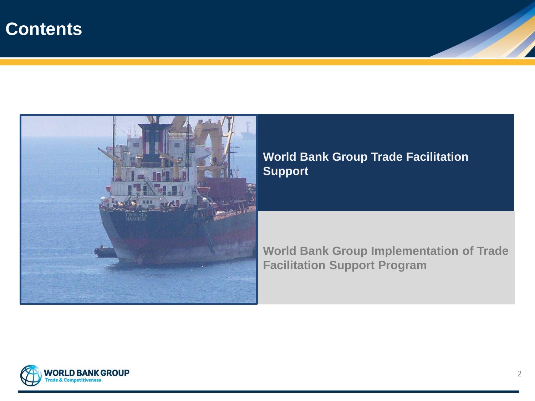### **Contents**



#### **World Bank Group Trade Facilitation Support**

**World Bank Group Implementation of Trade Facilitation Support Program**

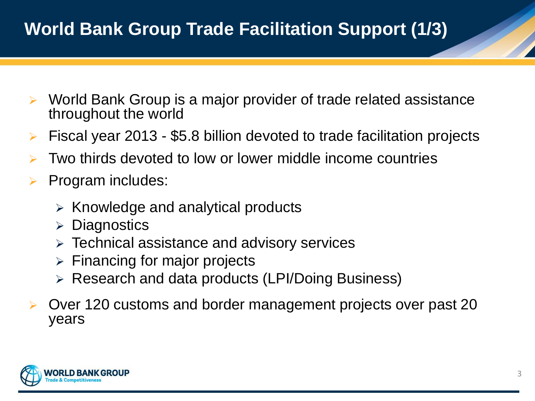## **World Bank Group Trade Facilitation Support (1/3)**

- World Bank Group is a major provider of trade related assistance throughout the world
- Fiscal year 2013 \$5.8 billion devoted to trade facilitation projects
- Two thirds devoted to low or lower middle income countries
- Program includes:
	- $\triangleright$  Knowledge and analytical products
	- $\triangleright$  Diagnostics
	- $\triangleright$  Technical assistance and advisory services
	- $\triangleright$  Financing for major projects
	- Research and data products (LPI/Doing Business)
- Over 120 customs and border management projects over past 20 years

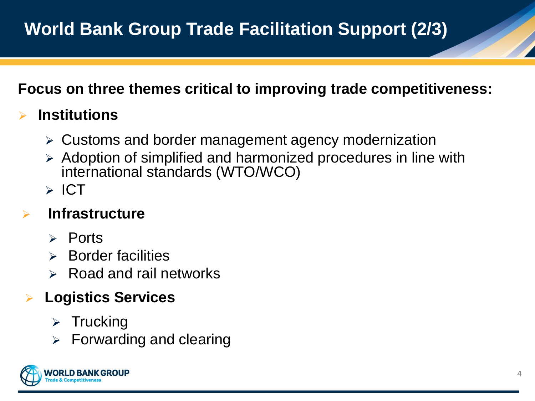#### **Focus on three themes critical to improving trade competitiveness:**

### **Institutions**

- Customs and border management agency modernization
- Adoption of simplified and harmonized procedures in line with international standards (WTO/WCO)
- $\triangleright$  ICT

### **Infrastructure**

- $\triangleright$  Ports
- $\triangleright$  Border facilities
- $\triangleright$  Road and rail networks

### **Logistics Services**

- $\triangleright$  Trucking
- $\triangleright$  Forwarding and clearing

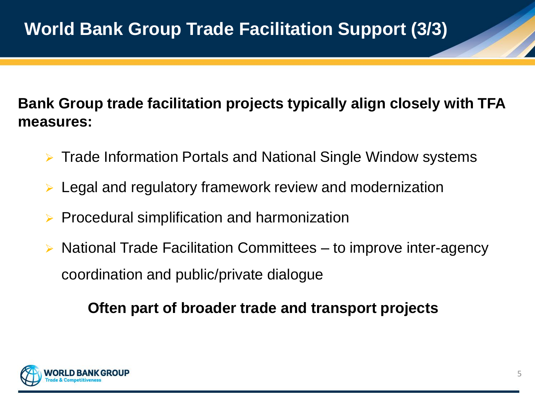#### **Bank Group trade facilitation projects typically align closely with TFA measures:**

- Trade Information Portals and National Single Window systems
- Legal and regulatory framework review and modernization
- Procedural simplification and harmonization
- National Trade Facilitation Committees to improve inter-agency coordination and public/private dialogue

#### **Often part of broader trade and transport projects**

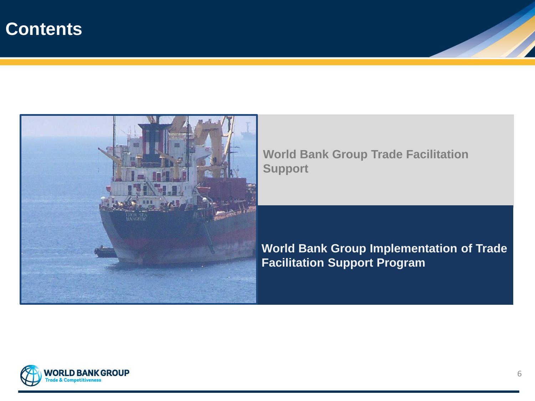### **Contents**



**World Bank Group Trade Facilitation Support**

**World Bank Group Implementation of Trade Facilitation Support Program**

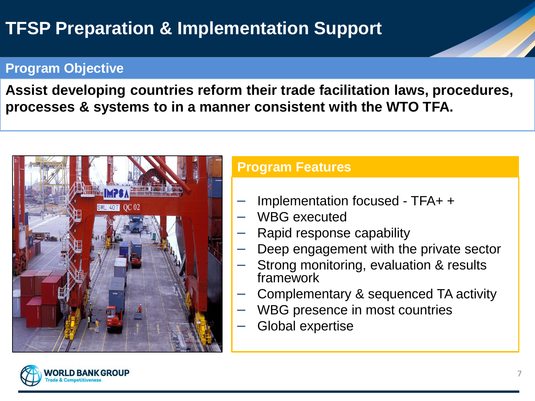## **TFSP Preparation & Implementation Support**

#### **Program Objective**

**Assist developing countries reform their trade facilitation laws, procedures, processes & systems to in a manner consistent with the WTO TFA.**



#### **Program Features**

- ─ Implementation focused TFA+ +
- WBG executed
- Rapid response capability
- Deep engagement with the private sector
- Strong monitoring, evaluation & results framework
- ─ Complementary & sequenced TA activity
- WBG presence in most countries
- Global expertise

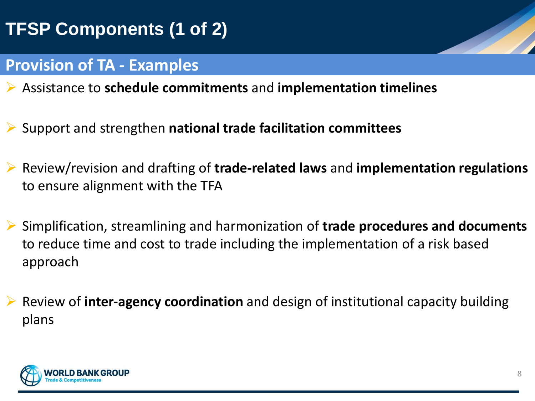## **TFSP Components (1 of 2)**

#### **Provision of TA - Examples**

- Assistance to **schedule commitments** and **implementation timelines**
- Support and strengthen **national trade facilitation committees**
- Review/revision and drafting of **trade-related laws** and **implementation regulations**  to ensure alignment with the TFA
- Simplification, streamlining and harmonization of **trade procedures and documents**  to reduce time and cost to trade including the implementation of a risk based approach
- Review of **inter-agency coordination** and design of institutional capacity building plans

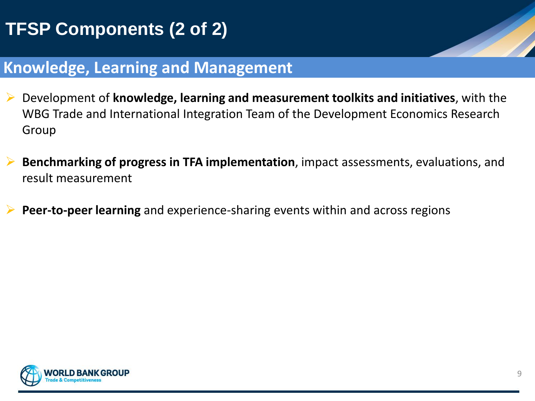## **TFSP Components (2 of 2)**

### **Knowledge, Learning and Management**

- Development of **knowledge, learning and measurement toolkits and initiatives**, with the WBG Trade and International Integration Team of the Development Economics Research Group
- **Benchmarking of progress in TFA implementation**, impact assessments, evaluations, and result measurement
- **Peer-to-peer learning** and experience-sharing events within and across regions

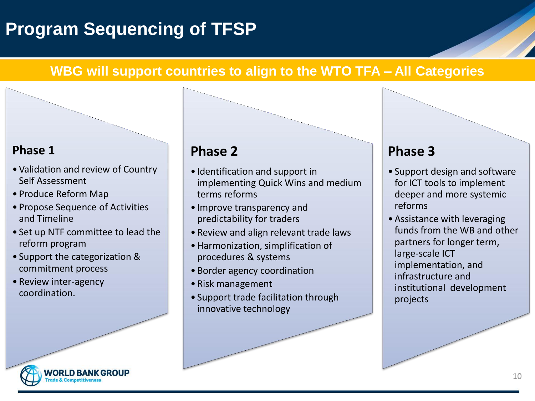## **Program Sequencing of TFSP**

#### **WBG will support countries to align to the WTO TFA – All Categories**

#### **Phase 1**

- Validation and review of Country Self Assessment
- Produce Reform Map
- Propose Sequence of Activities and Timeline
- Set up NTF committee to lead the reform program
- Support the categorization & commitment process
- Review inter-agency coordination.

#### **Phase 2**

- Identification and support in implementing Quick Wins and medium terms reforms
- Improve transparency and predictability for traders
- Review and align relevant trade laws
- •Harmonization, simplification of procedures & systems
- Border agency coordination
- Risk management
- Support trade facilitation through innovative technology

#### **Phase 3**

- Support design and software for ICT tools to implement deeper and more systemic reforms
- •Assistance with leveraging funds from the WB and other partners for longer term, large-scale ICT implementation, and infrastructure and institutional development projects

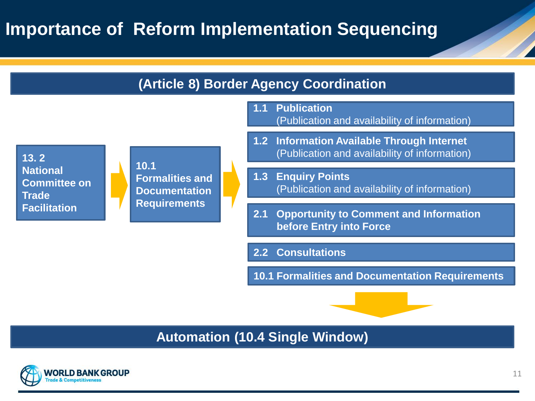## **Importance of Reform Implementation Sequencing**



#### **Automation (10.4 Single Window)**

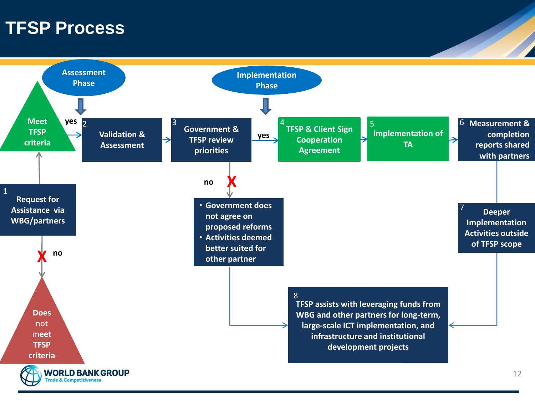### **TFSP Process**

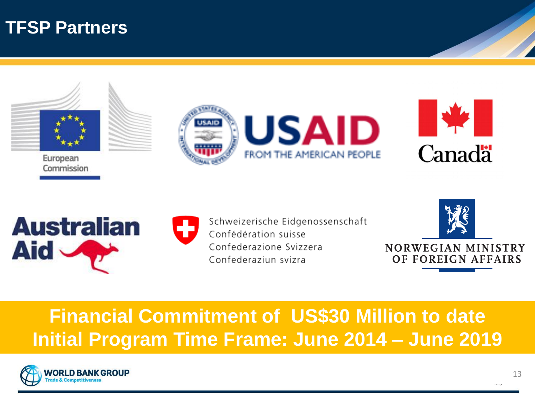### **TFSP Partners**



Commission











Schweizerische Eidgenossenschaft Confédération suisse Confederazione Svizzera Confederaziun svizra



## **Financial Commitment of US\$30 Million to date Initial Program Time Frame: June 2014 – June 2019**



 $15$